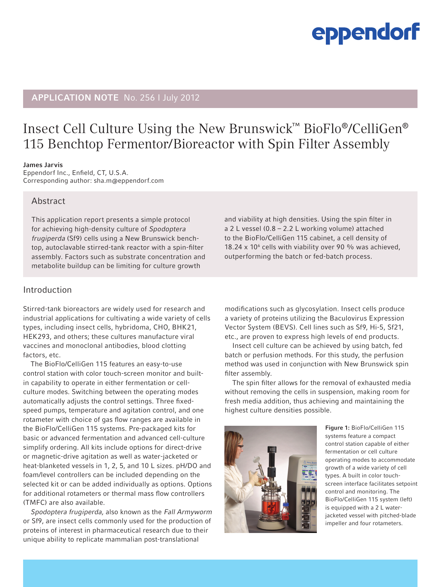# eppendorf

### **APPLICATION NOTE** No. 256 I July 2012

## Insect Cell Culture Using the New Brunswick™ BioFlo®/CelliGen® 115 Benchtop Fermentor/Bioreactor with Spin Filter Assembly

#### James Jarvis

Eppendorf Inc., Enfield, CT, U.S.A. Corresponding author: sha.m@eppendorf.com

#### Abstract

This application report presents a simple protocol for achieving high-density culture of Spodoptera frugiperda (Sf9) cells using a New Brunswick benchtop, autoclavable stirred-tank reactor with a spin-filter assembly. Factors such as substrate concentration and metabolite buildup can be limiting for culture growth

Introduction

Stirred-tank bioreactors are widely used for research and industrial applications for cultivating a wide variety of cells types, including insect cells, hybridoma, CHO, BHK21, HEK293, and others; these cultures manufacture viral vaccines and monoclonal antibodies, blood clotting factors, etc.

The BioFlo/CelliGen 115 features an easy-to-use control station with color touch-screen monitor and builtin capability to operate in either fermentation or cellculture modes. Switching between the operating modes automatically adjusts the control settings. Three fixedspeed pumps, temperature and agitation control, and one rotameter with choice of gas flow ranges are available in the BioFlo/CelliGen 115 systems. Pre-packaged kits for basic or advanced fermentation and advanced cell-culture simplify ordering. All kits include options for direct-drive or magnetic-drive agitation as well as water-jacketed or heat-blanketed vessels in 1, 2, 5, and 10 L sizes. pH/DO and foam/level controllers can be included depending on the selected kit or can be added individually as options. Options for additional rotameters or thermal mass flow controllers (TMFC) are also available.

Spodoptera frugiperda, also known as the Fall Armyworm or Sf9, are insect cells commonly used for the production of proteins of interest in pharmaceutical research due to their unique ability to replicate mammalian post-translational

and viability at high densities. Using the spin filter in a 2 L vessel (0.8 – 2.2 L working volume) attached to the BioFlo/CelliGen 115 cabinet, a cell density of 18.24 x 10<sup>6</sup> cells with viability over 90 % was achieved, outperforming the batch or fed-batch process.

modifications such as glycosylation. Insect cells produce a variety of proteins utilizing the Baculovirus Expression Vector System (BEVS). Cell lines such as Sf9, Hi-5, Sf21, etc., are proven to express high levels of end products.

Insect cell culture can be achieved by using batch, fed batch or perfusion methods. For this study, the perfusion method was used in conjunction with New Brunswick spin filter assembly.

The spin filter allows for the removal of exhausted media without removing the cells in suspension, making room for fresh media addition, thus achieving and maintaining the highest culture densities possible.



Figure 1: BioFlo/CelliGen 115 systems feature a compact control station capable of either fermentation or cell culture operating modes to accommodate growth of a wide variety of cell types. A built in color touchscreen interface facilitates setpoint control and monitoring. The BioFlo/CelliGen 115 system (left) is equipped with a 2 L waterjacketed vessel with pitched-blade impeller and four rotameters.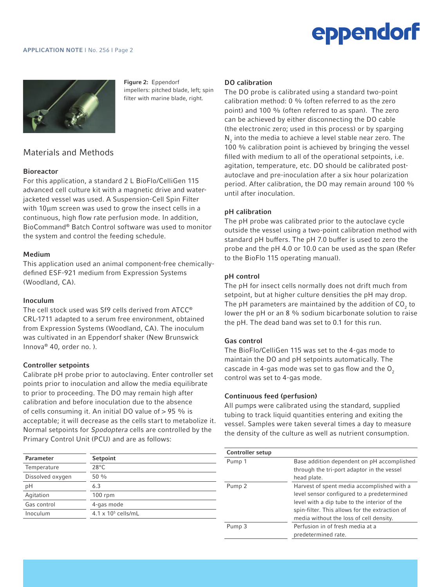# eppendorf

### **APPLICATION NOTE | No. 256 | Page 2**



Figure 2: Eppendorf impellers: pitched blade, left; spin filter with marine blade, right.

### Materials and Methods *Bioreactor*

#### **Bioreactor** with 100µ screen (NBS Catalog No. M1287-1125)

For this application, a standard 2 L BioFlo/CelliGen 115 advanced cell culture kit with a magnetic drive and waterjacketed vessel was used. A Suspension-Cell Spin Filter with 10µm screen was used to grow the insect cells in a continuous, high flow rate perfusion mode. In addition, BioCommand® Batch Control software was used to monitor the system and control the feeding schedule.

#### Medium

This application used an animal component-free chemicallydefined ESF-921 medium from Expression Systems (Woodland, CA).

#### Inoculum

The cell stock used was Sf9 cells derived from ATCC® CRL-1711 adapted to a serum free environment, obtained from Expression Systems (Woodland, CA). The inoculum was cultivated in an Eppendorf shaker (New Brunswick Innova® 40, order no. ).

#### Controller setpoints

Calibrate pH probe prior to autoclaving. Enter controller set points prior to inoculation and allow the media equilibrate to prior to proceeding. The DO may remain high after calibration and before inoculation due to the absence of cells consuming it. An initial DO value of > 95 % is acceptable; it will decrease as the cells start to metabolize it. Normal setpoints for Spodoptera cells are controlled by the Primary Control Unit (PCU) and are as follows:

| Parameter        | Setpoint                   |
|------------------|----------------------------|
| Temperature      | $28^{\circ}$ C             |
| Dissolved oxygen | $50\frac{0}{0}$            |
| рH               | 6.3                        |
| Agitation        | $100$ rpm                  |
| Gas control      | 4-gas mode                 |
| Inoculum         | $4.1 \times 10^5$ cells/mL |
|                  |                            |

#### DO calibration

The DO probe is calibrated using a standard two-point calibration method: 0 % (often referred to as the zero point) and 100 % (often referred to as span). The zero can be achieved by either disconnecting the DO cable (the electronic zero; used in this process) or by sparging  $\mathsf{N}_2$  into the media to achieve a level stable near zero. The 100 % calibration point is achieved by bringing the vessel filled with medium to all of the operational setpoints, i.e. agitation, temperature, etc. DO should be calibrated postautoclave and pre-inoculation after a six hour polarization period. After calibration, the DO may remain around 100 % until after inoculation.

#### pH calibration

The pH probe was calibrated prior to the autoclave cycle outside the vessel using a two-point calibration method with standard pH buffers. The pH 7.0 buffer is used to zero the probe and the pH 4.0 or 10.0 can be used as the span (Refer to the BioFlo 115 operating manual).

#### pH control

The pH for insect cells normally does not drift much from setpoint, but at higher culture densities the pH may drop. The pH parameters are maintained by the addition of CO<sub>2</sub> to lower the pH or an 8 % sodium bicarbonate solution to raise the pH. The dead band was set to 0.1 for this run.

#### Gas control

The BioFlo/CelliGen 115 was set to the 4-gas mode to maintain the DO and pH setpoints automatically. The cascade in 4-gas mode was set to gas flow and the  $O<sub>2</sub>$ control was set to 4-gas mode.

#### Continuous feed (perfusion)

All pumps were calibrated using the standard, supplied tubing to track liquid quantities entering and exiting the vessel. Samples were taken several times a day to measure the density of the culture as well as nutrient consumption.

| <b>Controller setup</b> |                                                |
|-------------------------|------------------------------------------------|
| Pump 1                  | Base addition dependent on pH accomplished     |
|                         | through the tri-port adaptor in the vessel     |
|                         | head plate.                                    |
| Pump <sub>2</sub>       | Harvest of spent media accomplished with a     |
|                         | level sensor configured to a predetermined     |
|                         | level with a dip tube to the interior of the   |
|                         | spin-filter. This allows for the extraction of |
|                         | media without the loss of cell density.        |
| Pump 3                  | Perfusion in of fresh media at a               |
|                         | predetermined rate.                            |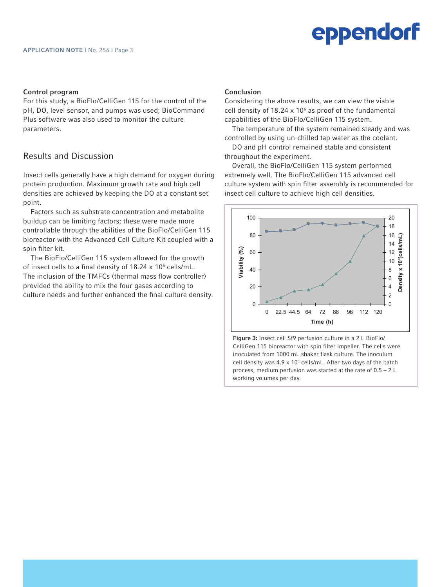#### Control program

For this study, a BioFlo/CelliGen 115 for the control of the pH, DO, level sensor, and pumps was used; BioCommand Plus software was also used to monitor the culture parameters.

#### Results and Discussion

Insect cells generally have a high demand for oxygen during protein production. Maximum growth rate and high cell densities are achieved by keeping the DO at a constant set point.

Factors such as substrate concentration and metabolite buildup can be limiting factors; these were made more controllable through the abilities of the BioFlo/CelliGen 115 bioreactor with the Advanced Cell Culture Kit coupled with a spin filter kit.

The BioFlo/CelliGen 115 system allowed for the growth of insect cells to a final density of 18.24 x 10<sup>6</sup> cells/mL. The inclusion of the TMFCs (thermal mass flow controller) provided the ability to mix the four gases according to culture needs and further enhanced the final culture density.

#### Conclusion

Considering the above results, we can view the viable cell density of  $18.24 \times 10^6$  as proof of the fundamental capabilities of the BioFlo/CelliGen 115 system.

The temperature of the system remained steady and was controlled by using un-chilled tap water as the coolant.

DO and pH control remained stable and consistent throughout the experiment.

Overall, the BioFlo/CelliGen 115 system performed extremely well. The BioFlo/CelliGen 115 advanced cell culture system with spin filter assembly is recommended for insect cell culture to achieve high cell densities.



Figure 3: Insect cell Sf9 perfusion culture in a 2 L BioFlo/ CelliGen 115 bioreactor with spin filter impeller. The cells were inoculated from 1000 mL shaker flask culture. The inoculum cell density was  $4.9 \times 10^5$  cells/mL. After two days of the batch process, medium perfusion was started at the rate of 0.5 – 2 L working volumes per day.